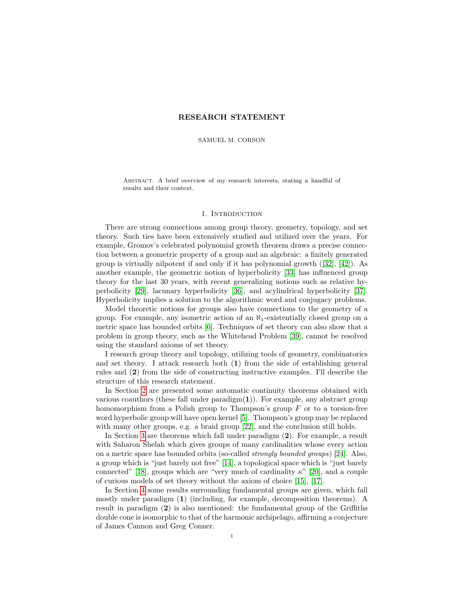# RESEARCH STATEMENT

SAMUEL M. CORSON

Abstract. A brief overview of my research interests, stating a handful of results and their context.

## 1. INTRODUCTION

There are strong connections among group theory, geometry, topology, and set theory. Such ties have been extensively studied and utilized over the years. For example, Gromov's celebrated polynomial growth theorem draws a precise connection between a geometric property of a group and an algebraic: a finitely generated group is virtually nilpotent if and only if it has polynomial growth  $(32)$ ,  $[42]$ ). As another example, the geometric notion of hyperbolicity [\[33\]](#page-6-2) has influenced group theory for the last 30 years, with recent generalizing notions such as relative hyperbolicity [\[29\]](#page-6-3), lacunary hyperbolicity [\[36\]](#page-6-4), and acylindrical hyperbolicity [\[37\]](#page-6-5). Hyperbolicity implies a solution to the algorithmic word and conjugacy problems.

Model theoretic notions for groups also have connections to the geometry of a group. For example, any isometric action of an  $\aleph_1$ -existentially closed group on a metric space has bounded orbits [\[6\]](#page-5-0). Techniques of set theory can also show that a problem in group theory, such as the Whitehead Problem [\[39\]](#page-6-6), cannot be resolved using the standard axioms of set theory.

I research group theory and topology, utilizing tools of geometry, combinatorics and set theory. I attack research both (1) from the side of establishing general rules and (2) from the side of constructing instructive examples. I'll describe the structure of this research statement.

In Section [2](#page-1-0) are presented some automatic continuity theorems obtained with various coauthors (these fall under  $\text{paradigm}(1)$ ). For example, any abstract group homomorphism from a Polish group to Thompson's group  $F$  or to a torsion-free word hyperbolic group will have open kernel [\[5\]](#page-5-1). Thompson's group may be replaced with many other groups, e.g. a braid group [\[22\]](#page-6-7), and the conclusion still holds.

In Section [3](#page-2-0) are theorems which fall under paradigm (2). For example, a result with Saharon Shelah which gives groups of many cardinalities whose every action on a metric space has bounded orbits (so-called strongly bounded groups) [\[24\]](#page-6-8). Also, a group which is "just barely not free" [\[14\]](#page-6-9), a topological space which is "just barely connected" [\[18\]](#page-6-10), groups which are "very much of cardinality  $\kappa$ " [\[20\]](#page-6-11), and a couple of curious models of set theory without the axiom of choice [\[15\]](#page-6-12), [\[17\]](#page-6-13).

In Section [4](#page-4-0) some results surrounding fundamental groups are given, which fall mostly under paradigm (1) (including, for example, decomposition theorems). A result in paradigm (2) is also mentioned: the fundamental group of the Griffiths double cone is isomorphic to that of the harmonic archipelago, affirming a conjecture of James Cannon and Greg Conner.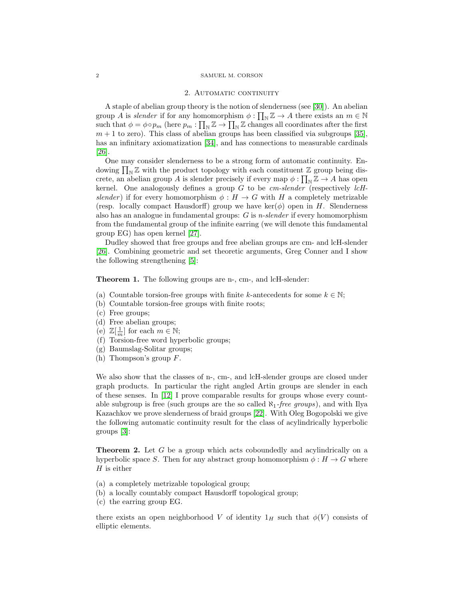#### 2. AUTOMATIC CONTINUITY

<span id="page-1-0"></span>A staple of abelian group theory is the notion of slenderness (see [\[30\]](#page-6-14)). An abelian group A is slender if for any homomorphism  $\phi : \prod_{\mathbb{N}} \mathbb{Z} \to A$  there exists an  $m \in \mathbb{N}$ such that  $\phi = \phi \circ p_m$  (here  $p_m : \prod_{\mathbb{N}} \mathbb{Z} \to \prod_{\mathbb{N}} \mathbb{Z}$  changes all coordinates after the first  $m + 1$  to zero). This class of abelian groups has been classified via subgroups [\[35\]](#page-6-15), has an infinitary axiomatization [\[34\]](#page-6-16), and has connections to measurable cardinals [\[26\]](#page-6-17).

One may consider slenderness to be a strong form of automatic continuity. Endowing  $\prod_{N} \mathbb{Z}$  with the product topology with each constituent  $\mathbb{Z}$  group being discrete, an abelian group A is slender precisely if every map  $\phi : \prod_{N} \mathbb{Z} \to A$  has open kernel. One analogously defines a group  $G$  to be  $cm\text{-}slender$  (respectively  $lcH\text{-}$ slender) if for every homomorphism  $\phi : H \to G$  with H a completely metrizable (resp. locally compact Hausdorff) group we have  $\ker(\phi)$  open in H. Slenderness also has an analogue in fundamental groups: G is n-slender if every homomorphism from the fundamental group of the infinite earring (we will denote this fundamental group EG) has open kernel [\[27\]](#page-6-18).

Dudley showed that free groups and free abelian groups are cm- and lcH-slender [\[26\]](#page-6-17). Combining geometric and set theoretic arguments, Greg Conner and I show the following strengthening [\[5\]](#page-5-1):

Theorem 1. The following groups are n-, cm-, and lcH-slender:

- (a) Countable torsion-free groups with finite k-antecedents for some  $k \in \mathbb{N}$ ;
- (b) Countable torsion-free groups with finite roots;
- (c) Free groups;
- (d) Free abelian groups;
- (e)  $\mathbb{Z}[\frac{1}{m}]$  for each  $m \in \mathbb{N}$ ;
- (f) Torsion-free word hyperbolic groups;
- (g) Baumslag-Solitar groups;
- (h) Thompson's group  $F$ .

We also show that the classes of n-, cm-, and lcH-slender groups are closed under graph products. In particular the right angled Artin groups are slender in each of these senses. In [\[12\]](#page-6-19) I prove comparable results for groups whose every countable subgroup is free (such groups are the so called  $\aleph_1$ -free groups), and with Ilya Kazachkov we prove slenderness of braid groups [\[22\]](#page-6-7). With Oleg Bogopolski we give the following automatic continuity result for the class of acylindrically hyperbolic groups [\[3\]](#page-5-2):

Theorem 2. Let G be a group which acts coboundedly and acylindrically on a hyperbolic space S. Then for any abstract group homomorphism  $\phi : H \to G$  where  $H$  is either

- (a) a completely metrizable topological group;
- (b) a locally countably compact Hausdorff topological group;
- (c) the earring group EG.

there exists an open neighborhood V of identity  $1_H$  such that  $\phi(V)$  consists of elliptic elements.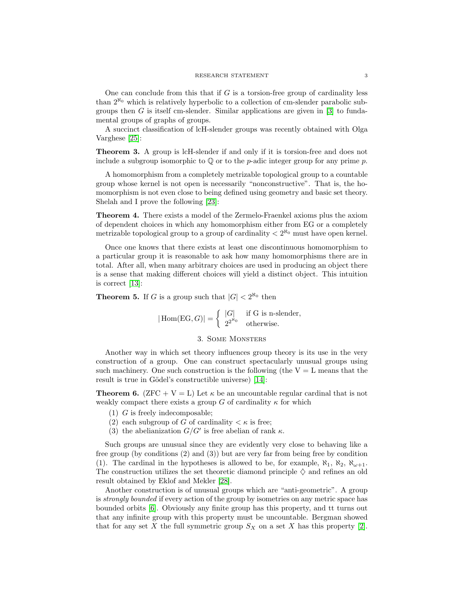One can conclude from this that if  $G$  is a torsion-free group of cardinality less than  $2^{\aleph_0}$  which is relatively hyperbolic to a collection of cm-slender parabolic subgroups then  $G$  is itself cm-slender. Similar applications are given in [\[3\]](#page-5-2) to fundamental groups of graphs of groups.

A succinct classification of lcH-slender groups was recently obtained with Olga Varghese [\[25\]](#page-6-20):

Theorem 3. A group is lcH-slender if and only if it is torsion-free and does not include a subgroup isomorphic to  $\mathbb Q$  or to the *p*-adic integer group for any prime *p*.

A homomorphism from a completely metrizable topological group to a countable group whose kernel is not open is necessarily "nonconstructive". That is, the homomorphism is not even close to being defined using geometry and basic set theory. Shelah and I prove the following [\[23\]](#page-6-21):

Theorem 4. There exists a model of the Zermelo-Fraenkel axioms plus the axiom of dependent choices in which any homomorphism either from EG or a completely metrizable topological group to a group of cardinality  $\langle 2^{R_0} \rangle$  must have open kernel.

Once one knows that there exists at least one discontinuous homomorphism to a particular group it is reasonable to ask how many homomorphisms there are in total. After all, when many arbitrary choices are used in producing an object there is a sense that making different choices will yield a distinct object. This intuition is correct [\[13\]](#page-6-22):

**Theorem 5.** If G is a group such that  $|G| < 2^{\aleph_0}$  then

 $|\text{Hom}(\text{EG}, G)| = \begin{cases} |G| & \text{if } G \text{ is n-slender,} \\ \frac{Q^{2^{N_0}}}{N_0^{N_0}} & \text{if } G \text{ is n-slender,} \end{cases}$  $2^{2^{\aleph_0}}$  otherwise.

## 3. Some Monsters

<span id="page-2-0"></span>Another way in which set theory influences group theory is its use in the very construction of a group. One can construct spectacularly unusual groups using such machinery. One such construction is the following (the  $V = L$  means that the result is true in Gödel's constructible universe) [\[14\]](#page-6-9):

**Theorem 6.** (ZFC + V = L) Let  $\kappa$  be an uncountable regular cardinal that is not weakly compact there exists a group G of cardinality  $\kappa$  for which

- (1) G is freely indecomposable;
- (2) each subgroup of G of cardinality  $\lt \kappa$  is free;
- (3) the abelianization  $G/G'$  is free abelian of rank  $\kappa$ .

Such groups are unusual since they are evidently very close to behaving like a free group (by conditions (2) and (3)) but are very far from being free by condition (1). The cardinal in the hypotheses is allowed to be, for example,  $\aleph_1$ ,  $\aleph_2$ ,  $\aleph_{\omega+1}$ . The construction utilizes the set theoretic diamond principle  $\diamondsuit$  and refines an old result obtained by Eklof and Mekler [\[28\]](#page-6-23).

Another construction is of unusual groups which are "anti-geometric". A group is *strongly bounded* if every action of the group by isometries on any metric space has bounded orbits [\[6\]](#page-5-0). Obviously any finite group has this property, and tt turns out that any infinite group with this property must be uncountable. Bergman showed that for any set X the full symmetric group  $S_X$  on a set X has this property [\[2\]](#page-5-3).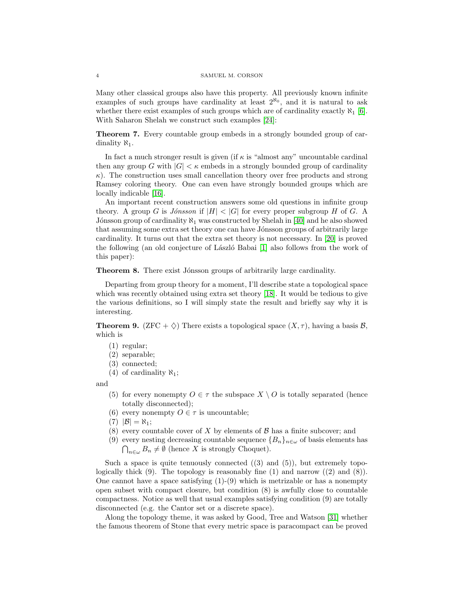Many other classical groups also have this property. All previously known infinite examples of such groups have cardinality at least  $2^{\aleph_0}$ , and it is natural to ask whether there exist examples of such groups which are of cardinality exactly  $\aleph_1$  [\[6\]](#page-5-0). With Saharon Shelah we construct such examples [\[24\]](#page-6-8):

Theorem 7. Every countable group embeds in a strongly bounded group of cardinality  $\aleph_1$ .

In fact a much stronger result is given (if  $\kappa$  is "almost any" uncountable cardinal then any group G with  $|G| < \kappa$  embeds in a strongly bounded group of cardinality  $\kappa$ ). The construction uses small cancellation theory over free products and strong Ramsey coloring theory. One can even have strongly bounded groups which are locally indicable [\[16\]](#page-6-24).

An important recent construction answers some old questions in infinite group theory. A group G is Jónsson if  $|H| < |G|$  for every proper subgroup H of G. A Jónsson group of cardinality  $\aleph_1$  was constructed by Shelah in [\[40\]](#page-6-25) and he also showed that assuming some extra set theory one can have Jónsson groups of arbitrarily large cardinality. It turns out that the extra set theory is not necessary. In [\[20\]](#page-6-11) is proved the following (an old conjecture of László Babai [\[1\]](#page-5-4) also follows from the work of this paper):

Theorem 8. There exist Jónsson groups of arbitrarily large cardinality.

Departing from group theory for a moment, I'll describe state a topological space which was recently obtained using extra set theory [\[18\]](#page-6-10). It would be tedious to give the various definitions, so I will simply state the result and briefly say why it is interesting.

**Theorem 9.** (ZFC +  $\diamondsuit$ ) There exists a topological space  $(X, \tau)$ , having a basis  $\mathcal{B}$ , which is

- (1) regular;
- (2) separable;
- (3) connected;
- (4) of cardinality  $\aleph_1$ ;

and

- (5) for every nonempty  $O \in \tau$  the subspace  $X \setminus O$  is totally separated (hence totally disconnected);
- (6) every nonempty  $O \in \tau$  is uncountable;
- $(7)$   $|\mathcal{B}| = N_1$ ;
- (8) every countable cover of X by elements of  $\beta$  has a finite subcover; and
- (9) every nesting decreasing countable sequence  ${B_n}_{n \in \omega}$  of basis elements has  $\bigcap_{n\in\omega}B_n\neq\emptyset$  (hence X is strongly Choquet).

Such a space is quite tenuously connected  $(3)$  and  $(5)$ ), but extremely topologically thick  $(9)$ . The topology is reasonably fine  $(1)$  and narrow  $((2)$  and  $(8)$ ). One cannot have a space satisfying  $(1)-(9)$  which is metrizable or has a nonempty open subset with compact closure, but condition (8) is awfully close to countable compactness. Notice as well that usual examples satisfying condition (9) are totally disconnected (e.g. the Cantor set or a discrete space).

Along the topology theme, it was asked by Good, Tree and Watson [\[31\]](#page-6-26) whether the famous theorem of Stone that every metric space is paracompact can be proved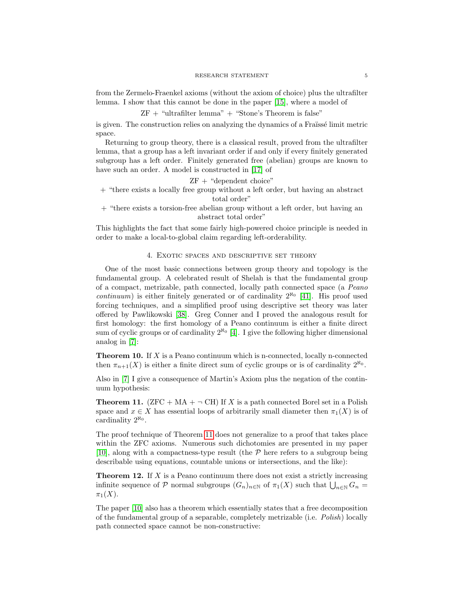from the Zermelo-Fraenkel axioms (without the axiom of choice) plus the ultrafilter lemma. I show that this cannot be done in the paper [\[15\]](#page-6-12), where a model of

ZF + "ultrafilter lemma" + "Stone's Theorem is false"

is given. The construction relies on analyzing the dynamics of a Fraissé limit metric space.

Returning to group theory, there is a classical result, proved from the ultrafilter lemma, that a group has a left invariant order if and only if every finitely generated subgroup has a left order. Finitely generated free (abelian) groups are known to have such an order. A model is constructed in [\[17\]](#page-6-13) of

ZF + "dependent choice"

+ "there exists a locally free group without a left order, but having an abstract total order"

+ "there exists a torsion-free abelian group without a left order, but having an abstract total order"

This highlights the fact that some fairly high-powered choice principle is needed in order to make a local-to-global claim regarding left-orderability.

### 4. Exotic spaces and descriptive set theory

<span id="page-4-0"></span>One of the most basic connections between group theory and topology is the fundamental group. A celebrated result of Shelah is that the fundamental group of a compact, metrizable, path connected, locally path connected space (a Peano continuum) is either finitely generated or of cardinality  $2^{\aleph_0}$  [\[41\]](#page-6-27). His proof used forcing techniques, and a simplified proof using descriptive set theory was later offered by Pawlikowski [\[38\]](#page-6-28). Greg Conner and I proved the analogous result for first homology: the first homology of a Peano continuum is either a finite direct sum of cyclic groups or of cardinality  $2^{\aleph_0}$  [\[4\]](#page-5-5). I give the following higher dimensional analog in [\[7\]](#page-5-6):

**Theorem 10.** If  $X$  is a Peano continuum which is n-connected, locally n-connected then  $\pi_{n+1}(X)$  is either a finite direct sum of cyclic groups or is of cardinality  $2^{\aleph_0}$ .

Also in [\[7\]](#page-5-6) I give a consequence of Martin's Axiom plus the negation of the continuum hypothesis:

<span id="page-4-1"></span>**Theorem 11.** (ZFC + MA +  $\neg$  CH) If X is a path connected Borel set in a Polish space and  $x \in X$  has essential loops of arbitrarily small diameter then  $\pi_1(X)$  is of cardinality  $2^{\aleph_0}$ .

The proof technique of Theorem [11](#page-4-1) does not generalize to a proof that takes place within the ZFC axioms. Numerous such dichotomies are presented in my paper [\[10\]](#page-6-29), along with a compactness-type result (the  $P$  here refers to a subgroup being describable using equations, countable unions or intersections, and the like):

**Theorem 12.** If X is a Peano continuum there does not exist a strictly increasing infinite sequence of  $P$  normal subgroups  $(G_n)_{n\in\mathbb{N}}$  of  $\pi_1(X)$  such that  $\bigcup_{n\in\mathbb{N}} G_n =$  $\pi_1(X)$ .

The paper [\[10\]](#page-6-29) also has a theorem which essentially states that a free decomposition of the fundamental group of a separable, completely metrizable (i.e. Polish) locally path connected space cannot be non-constructive: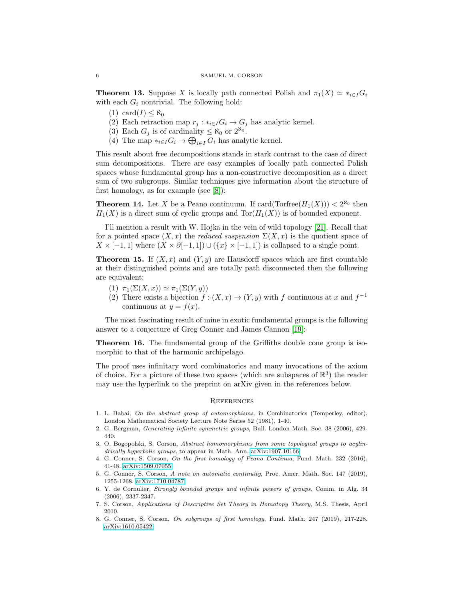**Theorem 13.** Suppose X is locally path connected Polish and  $\pi_1(X) \simeq *_{{i \in I}} G_i$ with each  $G_i$  nontrivial. The following hold:

- $(1) \text{ card}(I) \leq \aleph_0$
- (2) Each retraction map  $r_j : *_{i \in I} G_i \to G_j$  has analytic kernel.
- (3) Each  $G_j$  is of cardinality  $\leq \aleph_0$  or  $2^{\aleph_0}$ .
- (4) The map  $*_{{i \in I}} G_i \to \bigoplus_{i \in I} G_i$  has analytic kernel.

This result about free decompositions stands in stark contrast to the case of direct sum decompositions. There are easy examples of locally path connected Polish spaces whose fundamental group has a non-constructive decomposition as a direct sum of two subgroups. Similar techniques give information about the structure of first homology, as for example (see [\[8\]](#page-5-7)):

**Theorem 14.** Let X be a Peano continuum. If card(Torfree $(H_1(X))$ ) <  $2^{\aleph_0}$  then  $H_1(X)$  is a direct sum of cyclic groups and  $Tor(H_1(X))$  is of bounded exponent.

I'll mention a result with W. Hojka in the vein of wild topology [\[21\]](#page-6-30). Recall that for a pointed space  $(X, x)$  the reduced suspension  $\Sigma(X, x)$  is the quotient space of  $X \times [-1,1]$  where  $(X \times \partial [-1,1]) \cup (\{x\} \times [-1,1])$  is collapsed to a single point.

**Theorem 15.** If  $(X, x)$  and  $(Y, y)$  are Hausdorff spaces which are first countable at their distinguished points and are totally path disconnected then the following are equivalent:

- (1)  $\pi_1(\Sigma(X, x)) \simeq \pi_1(\Sigma(Y, y))$
- (2) There exists a bijection  $f : (X, x) \to (Y, y)$  with f continuous at x and  $f^{-1}$ continuous at  $y = f(x)$ .

The most fascinating result of mine in exotic fundamental groups is the following answer to a conjecture of Greg Conner and James Cannon [\[19\]](#page-6-31):

Theorem 16. The fundamental group of the Griffiths double cone group is isomorphic to that of the harmonic archipelago.

The proof uses infinitary word combinatorics and many invocations of the axiom of choice. For a picture of these two spaces (which are subspaces of  $\mathbb{R}^3$ ) the reader may use the hyperlink to the preprint on arXiv given in the references below.

### **REFERENCES**

- <span id="page-5-4"></span>1. L. Babai, On the abstract group of automorphisms, in Combinatorics (Temperley, editor), London Mathematical Society Lecture Note Series 52 (1981), 1-40.
- <span id="page-5-3"></span>2. G. Bergman, Generating infinite symmetric groups, Bull. London Math. Soc. 38 (2006), 429- 440.
- <span id="page-5-2"></span>3. O. Bogopolski, S. Corson, Abstract homomorphisms from some topological groups to acylindrically hyperbolic groups, to appear in Math. Ann. [arXiv:1907.10166](https://arxiv.org/abs/1907.10166)
- <span id="page-5-5"></span>4. G. Conner, S. Corson, On the first homology of Peano Continua, Fund. Math. 232 (2016), 41-48. [arXiv:1509.07055](https://arxiv.org/abs/1509.07055)
- <span id="page-5-1"></span>5. G. Conner, S. Corson, A note on automatic continuity, Proc. Amer. Math. Soc. 147 (2019), 1255-1268. [arXiv:1710.04787](https://arxiv.org/abs/1710.04787)
- <span id="page-5-0"></span>6. Y. de Cornulier, Strongly bounded groups and infinite powers of groups, Comm. in Alg. 34 (2006), 2337-2347.
- <span id="page-5-6"></span>7. S. Corson, Applications of Descriptive Set Theory in Homotopy Theory, M.S. Thesis, April 2010.
- <span id="page-5-7"></span>8. G. Conner, S. Corson, On subgroups of first homology, Fund. Math. 247 (2019), 217-228. [arXiv:1610.05422](https://arxiv.org/abs/1610.05422)